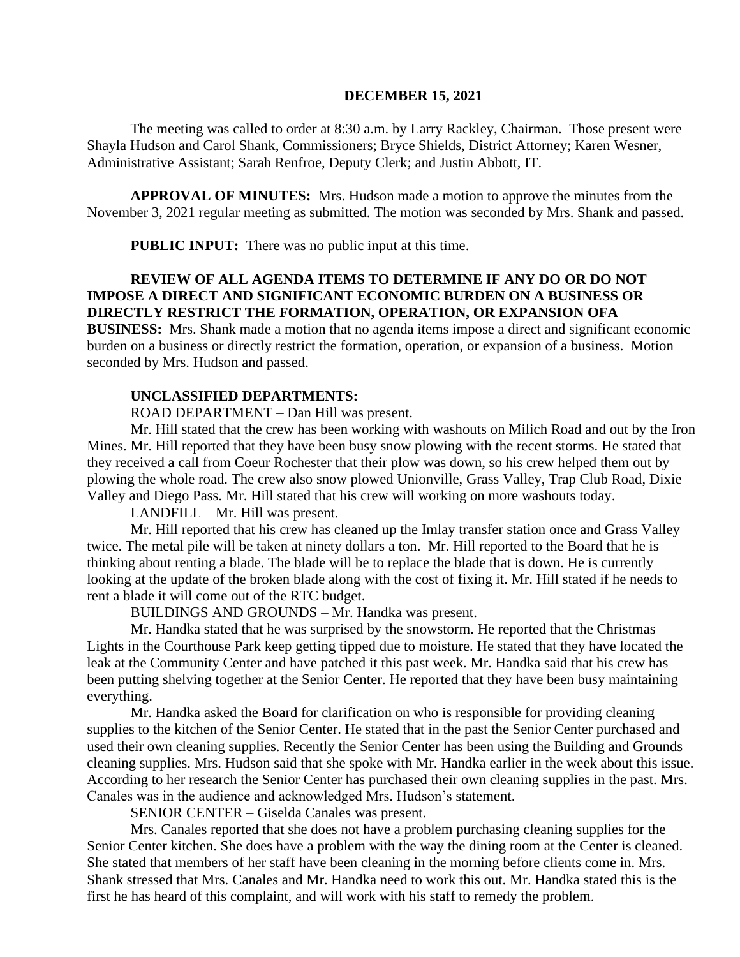### **DECEMBER 15, 2021**

The meeting was called to order at 8:30 a.m. by Larry Rackley, Chairman. Those present were Shayla Hudson and Carol Shank, Commissioners; Bryce Shields, District Attorney; Karen Wesner, Administrative Assistant; Sarah Renfroe, Deputy Clerk; and Justin Abbott, IT.

**APPROVAL OF MINUTES:** Mrs. Hudson made a motion to approve the minutes from the November 3, 2021 regular meeting as submitted. The motion was seconded by Mrs. Shank and passed.

**PUBLIC INPUT:** There was no public input at this time.

# **REVIEW OF ALL AGENDA ITEMS TO DETERMINE IF ANY DO OR DO NOT IMPOSE A DIRECT AND SIGNIFICANT ECONOMIC BURDEN ON A BUSINESS OR DIRECTLY RESTRICT THE FORMATION, OPERATION, OR EXPANSION OFA**

**BUSINESS:** Mrs. Shank made a motion that no agenda items impose a direct and significant economic burden on a business or directly restrict the formation, operation, or expansion of a business. Motion seconded by Mrs. Hudson and passed.

#### **UNCLASSIFIED DEPARTMENTS:**

ROAD DEPARTMENT – Dan Hill was present.

Mr. Hill stated that the crew has been working with washouts on Milich Road and out by the Iron Mines. Mr. Hill reported that they have been busy snow plowing with the recent storms. He stated that they received a call from Coeur Rochester that their plow was down, so his crew helped them out by plowing the whole road. The crew also snow plowed Unionville, Grass Valley, Trap Club Road, Dixie Valley and Diego Pass. Mr. Hill stated that his crew will working on more washouts today.

LANDFILL – Mr. Hill was present.

Mr. Hill reported that his crew has cleaned up the Imlay transfer station once and Grass Valley twice. The metal pile will be taken at ninety dollars a ton. Mr. Hill reported to the Board that he is thinking about renting a blade. The blade will be to replace the blade that is down. He is currently looking at the update of the broken blade along with the cost of fixing it. Mr. Hill stated if he needs to rent a blade it will come out of the RTC budget.

BUILDINGS AND GROUNDS – Mr. Handka was present.

Mr. Handka stated that he was surprised by the snowstorm. He reported that the Christmas Lights in the Courthouse Park keep getting tipped due to moisture. He stated that they have located the leak at the Community Center and have patched it this past week. Mr. Handka said that his crew has been putting shelving together at the Senior Center. He reported that they have been busy maintaining everything.

Mr. Handka asked the Board for clarification on who is responsible for providing cleaning supplies to the kitchen of the Senior Center. He stated that in the past the Senior Center purchased and used their own cleaning supplies. Recently the Senior Center has been using the Building and Grounds cleaning supplies. Mrs. Hudson said that she spoke with Mr. Handka earlier in the week about this issue. According to her research the Senior Center has purchased their own cleaning supplies in the past. Mrs. Canales was in the audience and acknowledged Mrs. Hudson's statement.

SENIOR CENTER – Giselda Canales was present.

Mrs. Canales reported that she does not have a problem purchasing cleaning supplies for the Senior Center kitchen. She does have a problem with the way the dining room at the Center is cleaned. She stated that members of her staff have been cleaning in the morning before clients come in. Mrs. Shank stressed that Mrs. Canales and Mr. Handka need to work this out. Mr. Handka stated this is the first he has heard of this complaint, and will work with his staff to remedy the problem.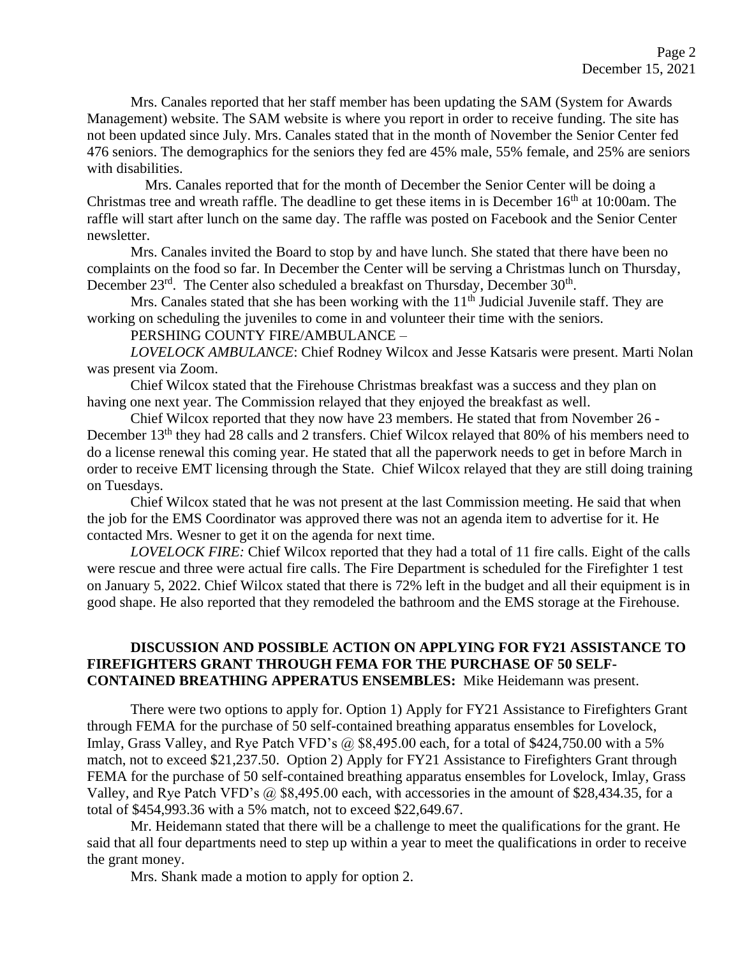Mrs. Canales reported that her staff member has been updating the SAM (System for Awards Management) website. The SAM website is where you report in order to receive funding. The site has not been updated since July. Mrs. Canales stated that in the month of November the Senior Center fed 476 seniors. The demographics for the seniors they fed are 45% male, 55% female, and 25% are seniors with disabilities.

 Mrs. Canales reported that for the month of December the Senior Center will be doing a Christmas tree and wreath raffle. The deadline to get these items in is December  $16<sup>th</sup>$  at  $10:00$ am. The raffle will start after lunch on the same day. The raffle was posted on Facebook and the Senior Center newsletter.

Mrs. Canales invited the Board to stop by and have lunch. She stated that there have been no complaints on the food so far. In December the Center will be serving a Christmas lunch on Thursday, December 23<sup>rd</sup>. The Center also scheduled a breakfast on Thursday, December 30<sup>th</sup>.

Mrs. Canales stated that she has been working with the  $11<sup>th</sup>$  Judicial Juvenile staff. They are working on scheduling the juveniles to come in and volunteer their time with the seniors.

PERSHING COUNTY FIRE/AMBULANCE –

*LOVELOCK AMBULANCE*: Chief Rodney Wilcox and Jesse Katsaris were present. Marti Nolan was present via Zoom.

Chief Wilcox stated that the Firehouse Christmas breakfast was a success and they plan on having one next year. The Commission relayed that they enjoyed the breakfast as well.

Chief Wilcox reported that they now have 23 members. He stated that from November 26 - December 13<sup>th</sup> they had 28 calls and 2 transfers. Chief Wilcox relayed that 80% of his members need to do a license renewal this coming year. He stated that all the paperwork needs to get in before March in order to receive EMT licensing through the State. Chief Wilcox relayed that they are still doing training on Tuesdays.

Chief Wilcox stated that he was not present at the last Commission meeting. He said that when the job for the EMS Coordinator was approved there was not an agenda item to advertise for it. He contacted Mrs. Wesner to get it on the agenda for next time.

*LOVELOCK FIRE:* Chief Wilcox reported that they had a total of 11 fire calls. Eight of the calls were rescue and three were actual fire calls. The Fire Department is scheduled for the Firefighter 1 test on January 5, 2022. Chief Wilcox stated that there is 72% left in the budget and all their equipment is in good shape. He also reported that they remodeled the bathroom and the EMS storage at the Firehouse.

# **DISCUSSION AND POSSIBLE ACTION ON APPLYING FOR FY21 ASSISTANCE TO FIREFIGHTERS GRANT THROUGH FEMA FOR THE PURCHASE OF 50 SELF-CONTAINED BREATHING APPERATUS ENSEMBLES:** Mike Heidemann was present.

There were two options to apply for. Option 1) Apply for FY21 Assistance to Firefighters Grant through FEMA for the purchase of 50 self-contained breathing apparatus ensembles for Lovelock, Imlay, Grass Valley, and Rye Patch VFD's @ \$8,495.00 each, for a total of \$424,750.00 with a 5% match, not to exceed \$21,237.50. Option 2) Apply for FY21 Assistance to Firefighters Grant through FEMA for the purchase of 50 self-contained breathing apparatus ensembles for Lovelock, Imlay, Grass Valley, and Rye Patch VFD's @ \$8,495.00 each, with accessories in the amount of \$28,434.35, for a total of \$454,993.36 with a 5% match, not to exceed \$22,649.67.

Mr. Heidemann stated that there will be a challenge to meet the qualifications for the grant. He said that all four departments need to step up within a year to meet the qualifications in order to receive the grant money.

Mrs. Shank made a motion to apply for option 2.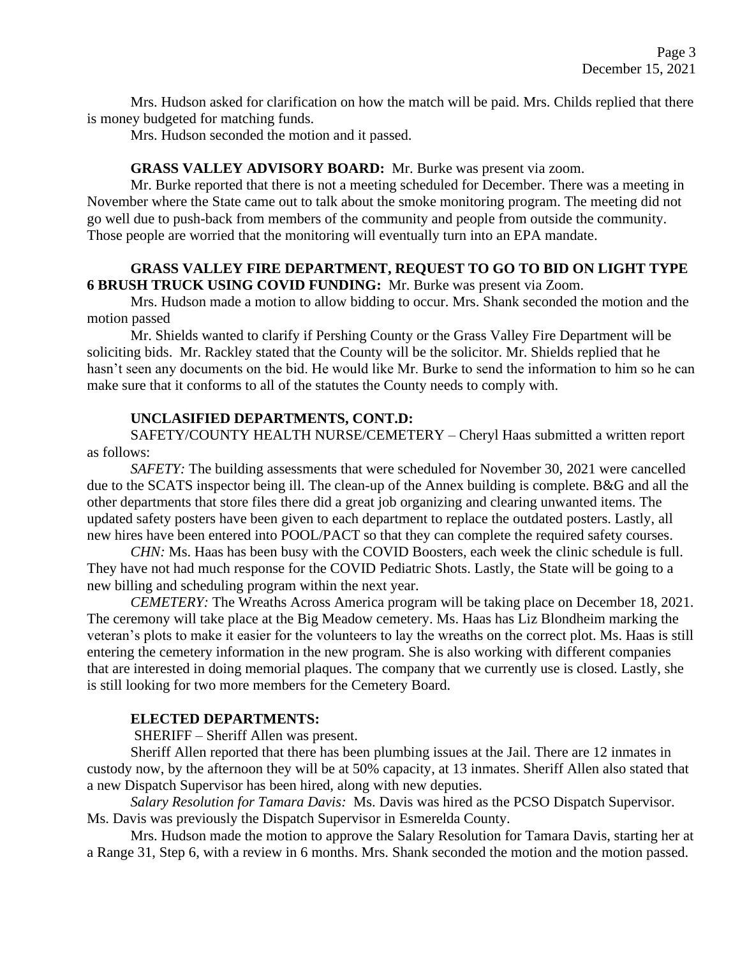Mrs. Hudson asked for clarification on how the match will be paid. Mrs. Childs replied that there is money budgeted for matching funds.

Mrs. Hudson seconded the motion and it passed.

#### **GRASS VALLEY ADVISORY BOARD:** Mr. Burke was present via zoom.

Mr. Burke reported that there is not a meeting scheduled for December. There was a meeting in November where the State came out to talk about the smoke monitoring program. The meeting did not go well due to push-back from members of the community and people from outside the community. Those people are worried that the monitoring will eventually turn into an EPA mandate.

### **GRASS VALLEY FIRE DEPARTMENT, REQUEST TO GO TO BID ON LIGHT TYPE 6 BRUSH TRUCK USING COVID FUNDING:** Mr. Burke was present via Zoom.

Mrs. Hudson made a motion to allow bidding to occur. Mrs. Shank seconded the motion and the motion passed

Mr. Shields wanted to clarify if Pershing County or the Grass Valley Fire Department will be soliciting bids. Mr. Rackley stated that the County will be the solicitor. Mr. Shields replied that he hasn't seen any documents on the bid. He would like Mr. Burke to send the information to him so he can make sure that it conforms to all of the statutes the County needs to comply with.

# **UNCLASIFIED DEPARTMENTS, CONT.D:**

 SAFETY/COUNTY HEALTH NURSE/CEMETERY – Cheryl Haas submitted a written report as follows:

*SAFETY:* The building assessments that were scheduled for November 30, 2021 were cancelled due to the SCATS inspector being ill. The clean-up of the Annex building is complete. B&G and all the other departments that store files there did a great job organizing and clearing unwanted items. The updated safety posters have been given to each department to replace the outdated posters. Lastly, all new hires have been entered into POOL/PACT so that they can complete the required safety courses.

*CHN:* Ms. Haas has been busy with the COVID Boosters, each week the clinic schedule is full. They have not had much response for the COVID Pediatric Shots. Lastly, the State will be going to a new billing and scheduling program within the next year.

*CEMETERY:* The Wreaths Across America program will be taking place on December 18, 2021. The ceremony will take place at the Big Meadow cemetery. Ms. Haas has Liz Blondheim marking the veteran's plots to make it easier for the volunteers to lay the wreaths on the correct plot. Ms. Haas is still entering the cemetery information in the new program. She is also working with different companies that are interested in doing memorial plaques. The company that we currently use is closed. Lastly, she is still looking for two more members for the Cemetery Board.

#### **ELECTED DEPARTMENTS:**

SHERIFF – Sheriff Allen was present.

Sheriff Allen reported that there has been plumbing issues at the Jail. There are 12 inmates in custody now, by the afternoon they will be at 50% capacity, at 13 inmates. Sheriff Allen also stated that a new Dispatch Supervisor has been hired, along with new deputies.

*Salary Resolution for Tamara Davis:* Ms. Davis was hired as the PCSO Dispatch Supervisor. Ms. Davis was previously the Dispatch Supervisor in Esmerelda County.

Mrs. Hudson made the motion to approve the Salary Resolution for Tamara Davis, starting her at a Range 31, Step 6, with a review in 6 months. Mrs. Shank seconded the motion and the motion passed.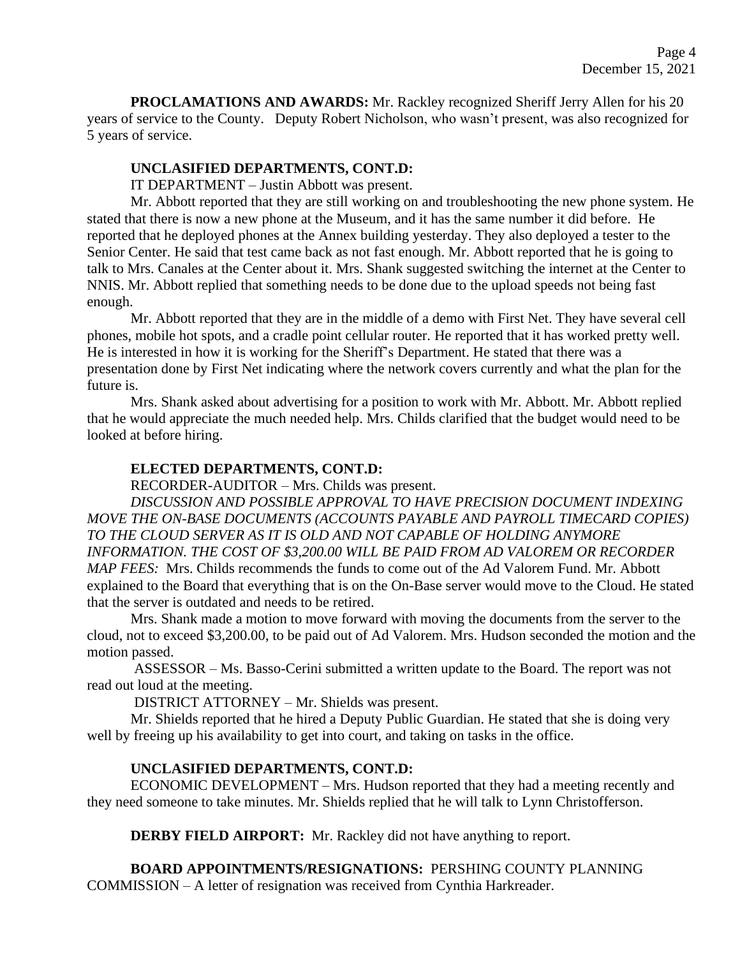**PROCLAMATIONS AND AWARDS:** Mr. Rackley recognized Sheriff Jerry Allen for his 20 years of service to the County. Deputy Robert Nicholson, who wasn't present, was also recognized for 5 years of service.

### **UNCLASIFIED DEPARTMENTS, CONT.D:**

IT DEPARTMENT – Justin Abbott was present.

Mr. Abbott reported that they are still working on and troubleshooting the new phone system. He stated that there is now a new phone at the Museum, and it has the same number it did before. He reported that he deployed phones at the Annex building yesterday. They also deployed a tester to the Senior Center. He said that test came back as not fast enough. Mr. Abbott reported that he is going to talk to Mrs. Canales at the Center about it. Mrs. Shank suggested switching the internet at the Center to NNIS. Mr. Abbott replied that something needs to be done due to the upload speeds not being fast enough.

Mr. Abbott reported that they are in the middle of a demo with First Net. They have several cell phones, mobile hot spots, and a cradle point cellular router. He reported that it has worked pretty well. He is interested in how it is working for the Sheriff's Department. He stated that there was a presentation done by First Net indicating where the network covers currently and what the plan for the future is.

Mrs. Shank asked about advertising for a position to work with Mr. Abbott. Mr. Abbott replied that he would appreciate the much needed help. Mrs. Childs clarified that the budget would need to be looked at before hiring.

# **ELECTED DEPARTMENTS, CONT.D:**

RECORDER-AUDITOR – Mrs. Childs was present.

*DISCUSSION AND POSSIBLE APPROVAL TO HAVE PRECISION DOCUMENT INDEXING MOVE THE ON-BASE DOCUMENTS (ACCOUNTS PAYABLE AND PAYROLL TIMECARD COPIES) TO THE CLOUD SERVER AS IT IS OLD AND NOT CAPABLE OF HOLDING ANYMORE INFORMATION. THE COST OF \$3,200.00 WILL BE PAID FROM AD VALOREM OR RECORDER MAP FEES:* Mrs. Childs recommends the funds to come out of the Ad Valorem Fund. Mr. Abbott explained to the Board that everything that is on the On-Base server would move to the Cloud. He stated that the server is outdated and needs to be retired.

Mrs. Shank made a motion to move forward with moving the documents from the server to the cloud, not to exceed \$3,200.00, to be paid out of Ad Valorem. Mrs. Hudson seconded the motion and the motion passed.

ASSESSOR – Ms. Basso-Cerini submitted a written update to the Board. The report was not read out loud at the meeting.

DISTRICT ATTORNEY – Mr. Shields was present.

Mr. Shields reported that he hired a Deputy Public Guardian. He stated that she is doing very well by freeing up his availability to get into court, and taking on tasks in the office.

### **UNCLASIFIED DEPARTMENTS, CONT.D:**

ECONOMIC DEVELOPMENT – Mrs. Hudson reported that they had a meeting recently and they need someone to take minutes. Mr. Shields replied that he will talk to Lynn Christofferson.

**DERBY FIELD AIRPORT:** Mr. Rackley did not have anything to report.

**BOARD APPOINTMENTS/RESIGNATIONS:** PERSHING COUNTY PLANNING COMMISSION – A letter of resignation was received from Cynthia Harkreader.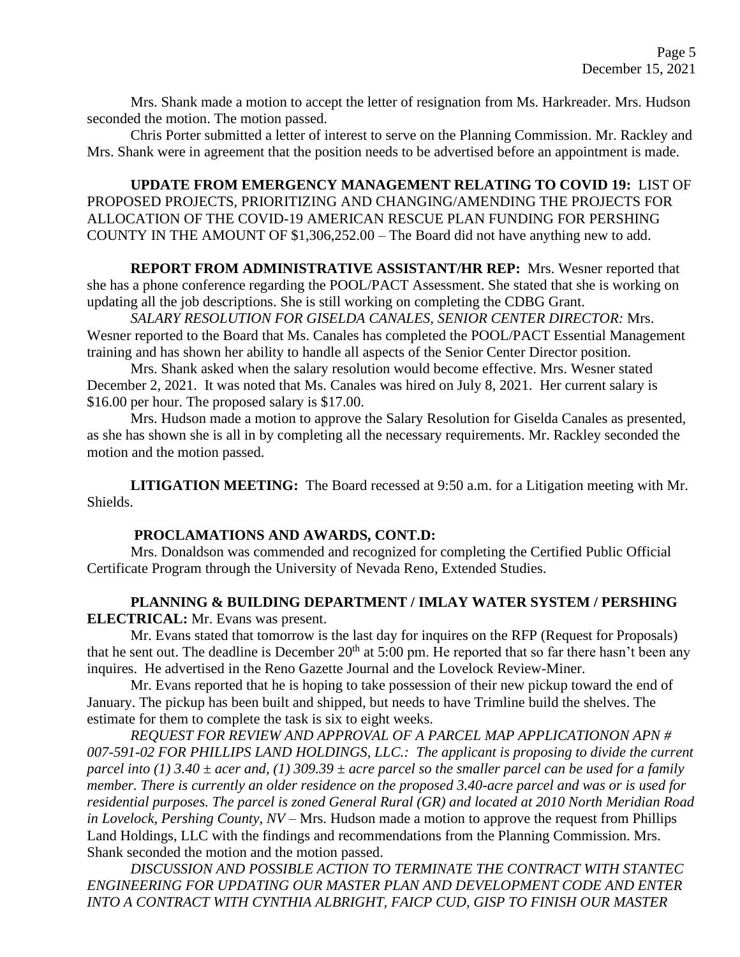Mrs. Shank made a motion to accept the letter of resignation from Ms. Harkreader. Mrs. Hudson seconded the motion. The motion passed.

Chris Porter submitted a letter of interest to serve on the Planning Commission. Mr. Rackley and Mrs. Shank were in agreement that the position needs to be advertised before an appointment is made.

**UPDATE FROM EMERGENCY MANAGEMENT RELATING TO COVID 19:** LIST OF PROPOSED PROJECTS, PRIORITIZING AND CHANGING/AMENDING THE PROJECTS FOR ALLOCATION OF THE COVID-19 AMERICAN RESCUE PLAN FUNDING FOR PERSHING COUNTY IN THE AMOUNT OF \$1,306,252.00 – The Board did not have anything new to add.

**REPORT FROM ADMINISTRATIVE ASSISTANT/HR REP:** Mrs. Wesner reported that she has a phone conference regarding the POOL/PACT Assessment. She stated that she is working on updating all the job descriptions. She is still working on completing the CDBG Grant.

*SALARY RESOLUTION FOR GISELDA CANALES, SENIOR CENTER DIRECTOR:* Mrs. Wesner reported to the Board that Ms. Canales has completed the POOL/PACT Essential Management training and has shown her ability to handle all aspects of the Senior Center Director position.

Mrs. Shank asked when the salary resolution would become effective. Mrs. Wesner stated December 2, 2021. It was noted that Ms. Canales was hired on July 8, 2021. Her current salary is \$16.00 per hour. The proposed salary is \$17.00.

Mrs. Hudson made a motion to approve the Salary Resolution for Giselda Canales as presented, as she has shown she is all in by completing all the necessary requirements. Mr. Rackley seconded the motion and the motion passed.

**LITIGATION MEETING:** The Board recessed at 9:50 a.m. for a Litigation meeting with Mr. Shields.

### **PROCLAMATIONS AND AWARDS, CONT.D:**

Mrs. Donaldson was commended and recognized for completing the Certified Public Official Certificate Program through the University of Nevada Reno, Extended Studies.

**PLANNING & BUILDING DEPARTMENT / IMLAY WATER SYSTEM / PERSHING ELECTRICAL:** Mr. Evans was present.

Mr. Evans stated that tomorrow is the last day for inquires on the RFP (Request for Proposals) that he sent out. The deadline is December  $20<sup>th</sup>$  at 5:00 pm. He reported that so far there hasn't been any inquires. He advertised in the Reno Gazette Journal and the Lovelock Review-Miner.

Mr. Evans reported that he is hoping to take possession of their new pickup toward the end of January. The pickup has been built and shipped, but needs to have Trimline build the shelves. The estimate for them to complete the task is six to eight weeks.

*REQUEST FOR REVIEW AND APPROVAL OF A PARCEL MAP APPLICATIONON APN # 007-591-02 FOR PHILLIPS LAND HOLDINGS, LLC.: The applicant is proposing to divide the current parcel into (1) 3.40 ± acer and, (1) 309.39 ± acre parcel so the smaller parcel can be used for a family member. There is currently an older residence on the proposed 3.40-acre parcel and was or is used for residential purposes. The parcel is zoned General Rural (GR) and located at 2010 North Meridian Road in Lovelock, Pershing County, NV –* Mrs. Hudson made a motion to approve the request from Phillips Land Holdings, LLC with the findings and recommendations from the Planning Commission. Mrs. Shank seconded the motion and the motion passed.

*DISCUSSION AND POSSIBLE ACTION TO TERMINATE THE CONTRACT WITH STANTEC ENGINEERING FOR UPDATING OUR MASTER PLAN AND DEVELOPMENT CODE AND ENTER INTO A CONTRACT WITH CYNTHIA ALBRIGHT, FAICP CUD, GISP TO FINISH OUR MASTER*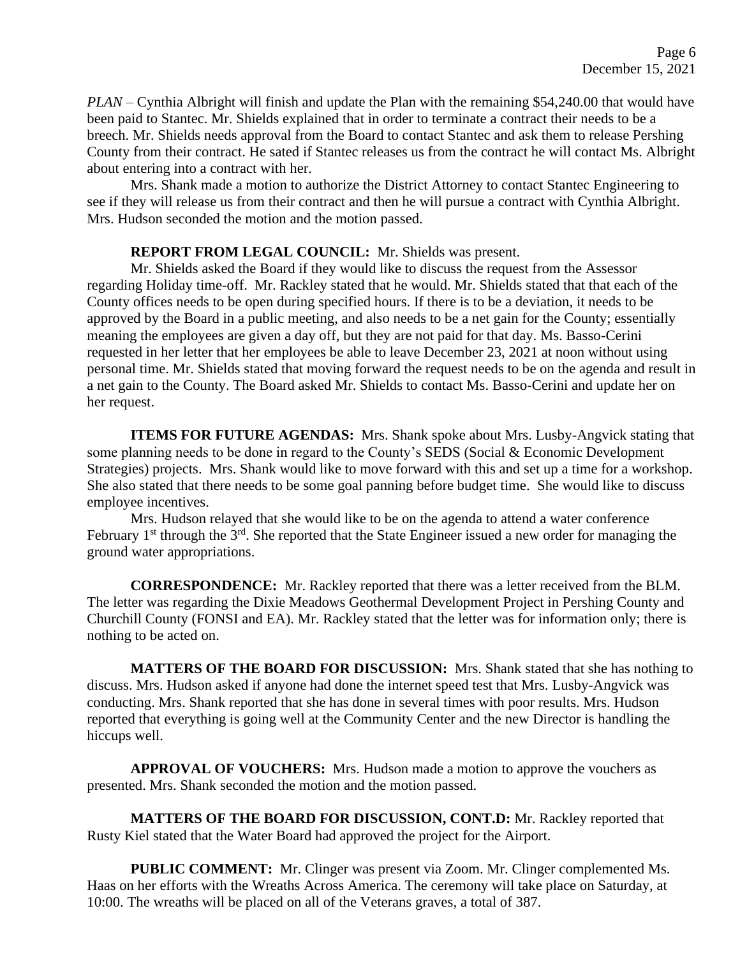*PLAN* – Cynthia Albright will finish and update the Plan with the remaining \$54,240.00 that would have been paid to Stantec. Mr. Shields explained that in order to terminate a contract their needs to be a breech. Mr. Shields needs approval from the Board to contact Stantec and ask them to release Pershing County from their contract. He sated if Stantec releases us from the contract he will contact Ms. Albright about entering into a contract with her.

Mrs. Shank made a motion to authorize the District Attorney to contact Stantec Engineering to see if they will release us from their contract and then he will pursue a contract with Cynthia Albright. Mrs. Hudson seconded the motion and the motion passed.

### **REPORT FROM LEGAL COUNCIL:** Mr. Shields was present.

Mr. Shields asked the Board if they would like to discuss the request from the Assessor regarding Holiday time-off. Mr. Rackley stated that he would. Mr. Shields stated that that each of the County offices needs to be open during specified hours. If there is to be a deviation, it needs to be approved by the Board in a public meeting, and also needs to be a net gain for the County; essentially meaning the employees are given a day off, but they are not paid for that day. Ms. Basso-Cerini requested in her letter that her employees be able to leave December 23, 2021 at noon without using personal time. Mr. Shields stated that moving forward the request needs to be on the agenda and result in a net gain to the County. The Board asked Mr. Shields to contact Ms. Basso-Cerini and update her on her request.

**ITEMS FOR FUTURE AGENDAS:** Mrs. Shank spoke about Mrs. Lusby-Angvick stating that some planning needs to be done in regard to the County's SEDS (Social & Economic Development Strategies) projects. Mrs. Shank would like to move forward with this and set up a time for a workshop. She also stated that there needs to be some goal panning before budget time. She would like to discuss employee incentives.

Mrs. Hudson relayed that she would like to be on the agenda to attend a water conference February 1<sup>st</sup> through the 3<sup>rd</sup>. She reported that the State Engineer issued a new order for managing the ground water appropriations.

**CORRESPONDENCE:** Mr. Rackley reported that there was a letter received from the BLM. The letter was regarding the Dixie Meadows Geothermal Development Project in Pershing County and Churchill County (FONSI and EA). Mr. Rackley stated that the letter was for information only; there is nothing to be acted on.

**MATTERS OF THE BOARD FOR DISCUSSION:** Mrs. Shank stated that she has nothing to discuss. Mrs. Hudson asked if anyone had done the internet speed test that Mrs. Lusby-Angvick was conducting. Mrs. Shank reported that she has done in several times with poor results. Mrs. Hudson reported that everything is going well at the Community Center and the new Director is handling the hiccups well.

**APPROVAL OF VOUCHERS:** Mrs. Hudson made a motion to approve the vouchers as presented. Mrs. Shank seconded the motion and the motion passed.

**MATTERS OF THE BOARD FOR DISCUSSION, CONT.D:** Mr. Rackley reported that Rusty Kiel stated that the Water Board had approved the project for the Airport.

**PUBLIC COMMENT:** Mr. Clinger was present via Zoom. Mr. Clinger complemented Ms. Haas on her efforts with the Wreaths Across America. The ceremony will take place on Saturday, at 10:00. The wreaths will be placed on all of the Veterans graves, a total of 387.